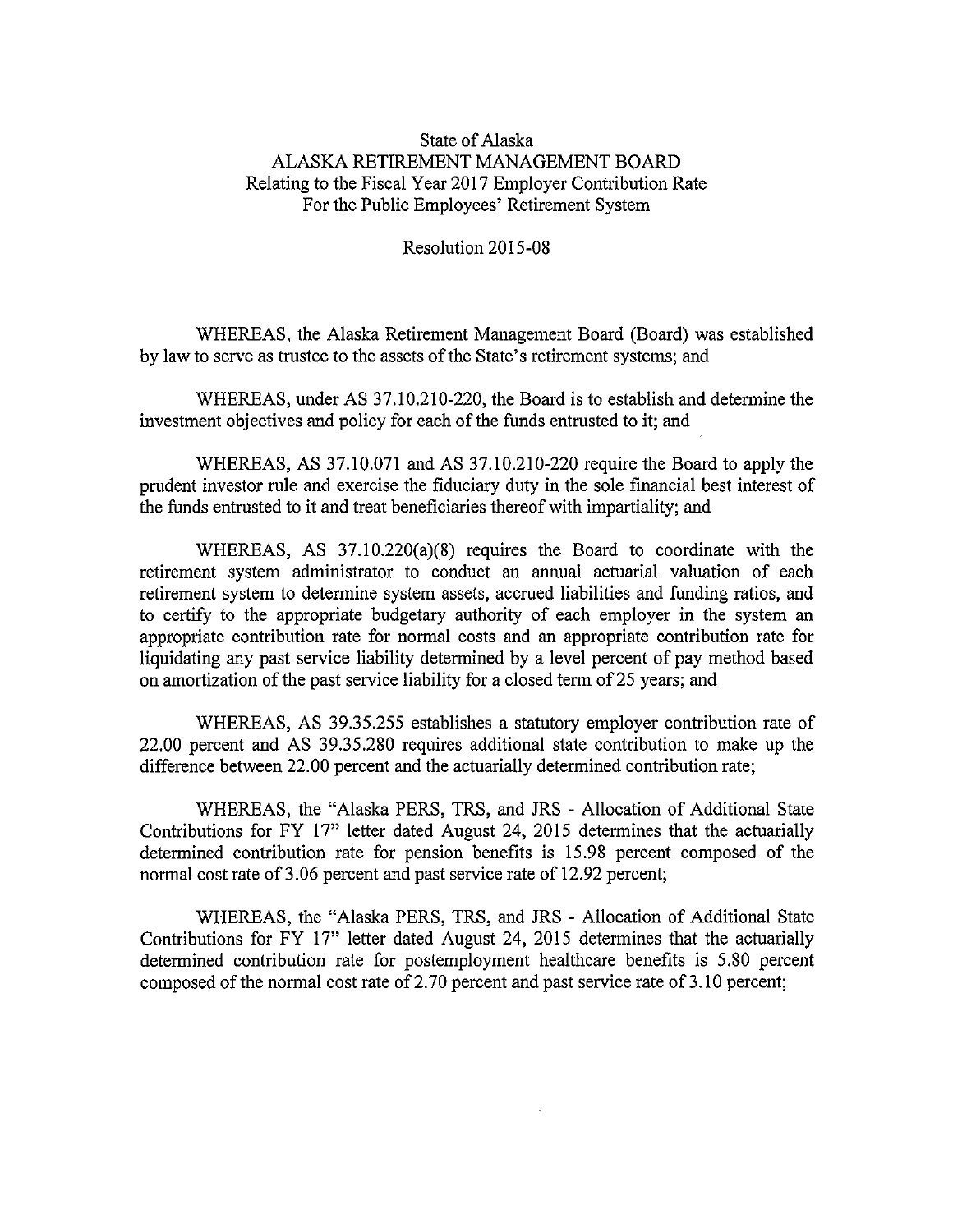## State of Alaska ALASKA RETIREMENT MANAGEMENT BOARD Relating to the Fiscal Year 2017 Employer Contribution Rate For the Public Employees' Retirement System

Resolution 2015-08

WHEREAS, the Alaska Retirement Management Board (Board) was established by law to serve as trustee to the assets of the State's retirement systems; and

WHEREAS, under AS 37.10.210-220, the Board is to establish and determine the investment objectives and policy for each of the funds entrusted to it; and

WHEREAS, AS 37.10.071 and AS 37.10.210-220 require the Board to apply the prudent investor rule and exercise the fiduciary duty in the sole financial best interest of the funds entrusted to it and treat beneficiaries thereof with impartiality; and

WHEREAS, AS 37.10.220(a)(8) requires the Board to coordinate with the retirement system administrator to conduct an annual actuarial valuation of each retirement system to determine system assets, accrued liabilities and funding ratios, and to certify to the appropriate budgetary authority of each employer in the system an appropriate contribution rate for normal costs and an appropriate contribution rate for liquidating any past service liability determined by <sup>a</sup> level percent of pay method based on amortization of the past service liability for <sup>a</sup> closed term of 25 years; and

WHEREAS, AS 39.35.255 establishes a statutory employer contribution rate of 22.00 percent and AS 39.35.280 requires additional state contribution to make up the difference between 22.00 percent and the actuarially determined contribution rate;

WHEREAS, the "Alaska PERS, TRS, and JRS - Allocation of Additional State Contributions for FY 17" letter dated August 24, 2015 determines that the actuarially determined contribution rate for pension benefits is 15.98 percent composed of the normal cost rate of 3.06 percent and past service rate of 12.92 percent;

WHEREAS, the "Alaska PERS, TRS, and JRS - Allocation of Additional State Contributions for FY 17" letter dated August 24, 2015 determines that the actuarially determined contribution rate for postemployment healthcare benefits is 5.80 percent composed of the normal cost rate of 2.70 percent and past service rate of 3.10 percent;